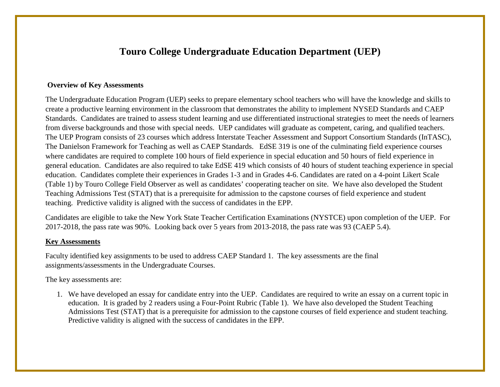## **Touro College Undergraduate Education Department (UEP)**

#### **Overview of Key Assessments**

The Undergraduate Education Program (UEP) seeks to prepare elementary school teachers who will have the knowledge and skills to create a productive learning environment in the classroom that demonstrates the ability to implement NYSED Standards and CAEP Standards. Candidates are trained to assess student learning and use differentiated instructional strategies to meet the needs of learners from diverse backgrounds and those with special needs. UEP candidates will graduate as competent, caring, and qualified teachers. The UEP Program consists of 23 courses which address Interstate Teacher Assessment and Support Consortium Standards (InTASC), The Danielson Framework for Teaching as well as CAEP Standards. EdSE 319 is one of the culminating field experience courses where candidates are required to complete 100 hours of field experience in special education and 50 hours of field experience in general education. Candidates are also required to take EdSE 419 which consists of 40 hours of student teaching experience in special education. Candidates complete their experiences in Grades 1-3 and in Grades 4-6. Candidates are rated on a 4-point Likert Scale (Table 1) by Touro College Field Observer as well as candidates' cooperating teacher on site. We have also developed the Student Teaching Admissions Test (STAT) that is a prerequisite for admission to the capstone courses of field experience and student teaching. Predictive validity is aligned with the success of candidates in the EPP.

Candidates are eligible to take the New York State Teacher Certification Examinations (NYSTCE) upon completion of the UEP. For 2017-2018, the pass rate was 90%. Looking back over 5 years from 2013-2018, the pass rate was 93 (CAEP 5.4).

#### **Key Assessments**

Faculty identified key assignments to be used to address CAEP Standard 1. The key assessments are the final assignments/assessments in the Undergraduate Courses.

The key assessments are:

1. We have developed an essay for candidate entry into the UEP. Candidates are required to write an essay on a current topic in education. It is graded by 2 readers using a Four-Point Rubric (Table 1). We have also developed the Student Teaching Admissions Test (STAT) that is a prerequisite for admission to the capstone courses of field experience and student teaching. Predictive validity is aligned with the success of candidates in the EPP.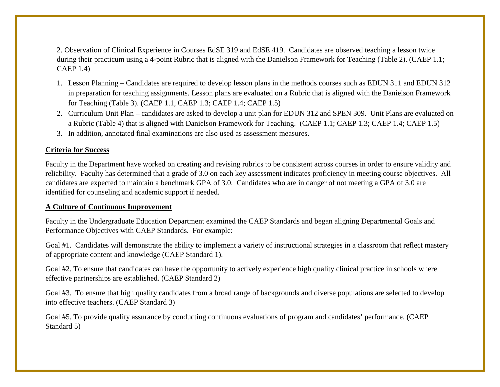2. Observation of Clinical Experience in Courses EdSE 319 and EdSE 419. Candidates are observed teaching a lesson twice during their practicum using a 4-point Rubric that is aligned with the Danielson Framework for Teaching (Table 2). (CAEP 1.1; CAEP 1.4)

- 1. Lesson Planning Candidates are required to develop lesson plans in the methods courses such as EDUN 311 and EDUN 312 in preparation for teaching assignments. Lesson plans are evaluated on a Rubric that is aligned with the Danielson Framework for Teaching (Table 3). (CAEP 1.1, CAEP 1.3; CAEP 1.4; CAEP 1.5)
- 2. Curriculum Unit Plan candidates are asked to develop a unit plan for EDUN 312 and SPEN 309. Unit Plans are evaluated on a Rubric (Table 4) that is aligned with Danielson Framework for Teaching. (CAEP 1.1; CAEP 1.3; CAEP 1.4; CAEP 1.5)
- 3. In addition, annotated final examinations are also used as assessment measures.

## **Criteria for Success**

Faculty in the Department have worked on creating and revising rubrics to be consistent across courses in order to ensure validity and reliability. Faculty has determined that a grade of 3.0 on each key assessment indicates proficiency in meeting course objectives. All candidates are expected to maintain a benchmark GPA of 3.0. Candidates who are in danger of not meeting a GPA of 3.0 are identified for counseling and academic support if needed.

## **A Culture of Continuous Improvement**

Faculty in the Undergraduate Education Department examined the CAEP Standards and began aligning Departmental Goals and Performance Objectives with CAEP Standards. For example:

Goal #1. Candidates will demonstrate the ability to implement a variety of instructional strategies in a classroom that reflect mastery of appropriate content and knowledge (CAEP Standard 1).

Goal #2. To ensure that candidates can have the opportunity to actively experience high quality clinical practice in schools where effective partnerships are established. (CAEP Standard 2)

Goal #3. To ensure that high quality candidates from a broad range of backgrounds and diverse populations are selected to develop into effective teachers. (CAEP Standard 3)

Goal #5. To provide quality assurance by conducting continuous evaluations of program and candidates' performance. (CAEP Standard 5)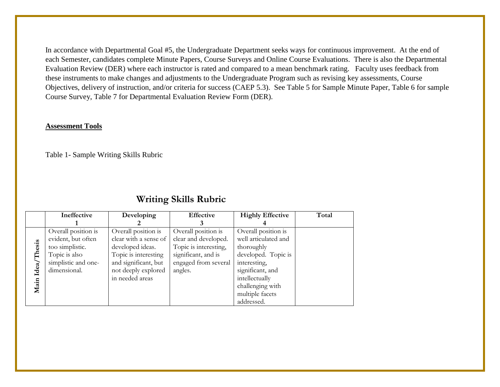In accordance with Departmental Goal #5, the Undergraduate Department seeks ways for continuous improvement. At the end of each Semester, candidates complete Minute Papers, Course Surveys and Online Course Evaluations. There is also the Departmental Evaluation Review (DER) where each instructor is rated and compared to a mean benchmark rating. Faculty uses feedback from these instruments to make changes and adjustments to the Undergraduate Program such as revising key assessments, Course Objectives, delivery of instruction, and/or criteria for success (CAEP 5.3). See Table 5 for Sample Minute Paper, Table 6 for sample Course Survey, Table 7 for Departmental Evaluation Review Form (DER).

#### **Assessment Tools**

Table 1- Sample Writing Skills Rubric

|        | Ineffective         | Developing            | <b>Effective</b>      | <b>Highly Effective</b> | Total |
|--------|---------------------|-----------------------|-----------------------|-------------------------|-------|
|        |                     |                       |                       |                         |       |
|        | Overall position is | Overall position is   | Overall position is   | Overall position is     |       |
|        | evident, but often  | clear with a sense of | clear and developed.  | well articulated and    |       |
| Thesis | too simplistic.     | developed ideas.      | Topic is interesting, | thoroughly              |       |
|        | Topic is also       | Topic is interesting  | significant, and is   | developed. Topic is     |       |
|        | simplistic and one- | and significant, but  | engaged from several  | interesting,            |       |
| Idea/  | dimensional.        | not deeply explored   | angles.               | significant, and        |       |
|        |                     | in needed areas       |                       | intellectually          |       |
| Main   |                     |                       |                       | challenging with        |       |
|        |                     |                       |                       | multiple facets         |       |
|        |                     |                       |                       | addressed.              |       |

## **Writing Skills Rubric**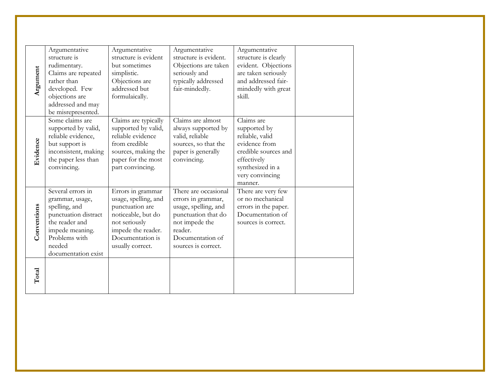| Argument    | Argumentative<br>structure is<br>rudimentary.<br>Claims are repeated<br>rather than<br>developed. Few<br>objections are<br>addressed and may<br>be misrepresented.   | Argumentative<br>structure is evident<br>but sometimes<br>simplistic.<br>Objections are<br>addressed but<br>formulaically.                                        | Argumentative<br>structure is evident.<br>Objections are taken<br>seriously and<br>typically addressed<br>fair-mindedly.                                          | Argumentative<br>structure is clearly<br>evident. Objections<br>are taken seriously<br>and addressed fair-<br>mindedly with great<br>skill.             |  |
|-------------|----------------------------------------------------------------------------------------------------------------------------------------------------------------------|-------------------------------------------------------------------------------------------------------------------------------------------------------------------|-------------------------------------------------------------------------------------------------------------------------------------------------------------------|---------------------------------------------------------------------------------------------------------------------------------------------------------|--|
| Evidence    | Some claims are<br>supported by valid,<br>reliable evidence,<br>but support is<br>inconsistent, making<br>the paper less than<br>convincing.                         | Claims are typically<br>supported by valid,<br>reliable evidence<br>from credible<br>sources, making the<br>paper for the most<br>part convincing.                | Claims are almost<br>always supported by<br>valid, reliable<br>sources, so that the<br>paper is generally<br>convincing.                                          | Claims are<br>supported by<br>reliable, valid<br>evidence from<br>credible sources and<br>effectively<br>synthesized in a<br>very convincing<br>manner. |  |
| Conventions | Several errors in<br>grammar, usage,<br>spelling, and<br>punctuation distract<br>the reader and<br>impede meaning.<br>Problems with<br>needed<br>documentation exist | Errors in grammar<br>usage, spelling, and<br>punctuation are<br>noticeable, but do<br>not seriously<br>impede the reader.<br>Documentation is<br>usually correct. | There are occasional<br>errors in grammar,<br>usage, spelling, and<br>punctuation that do<br>not impede the<br>reader.<br>Documentation of<br>sources is correct. | There are very few<br>or no mechanical<br>errors in the paper.<br>Documentation of<br>sources is correct.                                               |  |
| Total       |                                                                                                                                                                      |                                                                                                                                                                   |                                                                                                                                                                   |                                                                                                                                                         |  |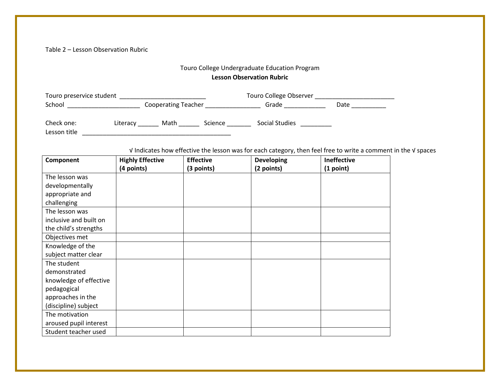Table 2 – Lesson Observation Rubric

## Touro College Undergraduate Education Program

## **Lesson Observation Rubric**

| Touro preservice student |          |                            |         | Touro College Observer |      |  |
|--------------------------|----------|----------------------------|---------|------------------------|------|--|
| School                   |          | <b>Cooperating Teacher</b> |         | Grade                  | Date |  |
| Check one:               | Literacy | Math                       | Science | Social Studies         |      |  |

Lesson title \_\_\_\_\_\_\_\_\_\_\_\_\_\_\_\_\_\_\_\_\_\_\_\_\_\_\_\_\_\_\_\_\_\_\_\_\_\_\_\_\_\_\_

√ Indicates how effective the lesson was for each category, then feel free to write a comment in the √ spaces

| Component              | <b>Highly Effective</b> | <b>Effective</b> | <b>Developing</b> | <b>Ineffective</b> |
|------------------------|-------------------------|------------------|-------------------|--------------------|
|                        | (4 points)              | (3 points)       | (2 points)        | (1 point)          |
| The lesson was         |                         |                  |                   |                    |
| developmentally        |                         |                  |                   |                    |
| appropriate and        |                         |                  |                   |                    |
| challenging            |                         |                  |                   |                    |
| The lesson was         |                         |                  |                   |                    |
| inclusive and built on |                         |                  |                   |                    |
| the child's strengths  |                         |                  |                   |                    |
| Objectives met         |                         |                  |                   |                    |
| Knowledge of the       |                         |                  |                   |                    |
| subject matter clear   |                         |                  |                   |                    |
| The student            |                         |                  |                   |                    |
| demonstrated           |                         |                  |                   |                    |
| knowledge of effective |                         |                  |                   |                    |
| pedagogical            |                         |                  |                   |                    |
| approaches in the      |                         |                  |                   |                    |
| (discipline) subject   |                         |                  |                   |                    |
| The motivation         |                         |                  |                   |                    |
| aroused pupil interest |                         |                  |                   |                    |
| Student teacher used   |                         |                  |                   |                    |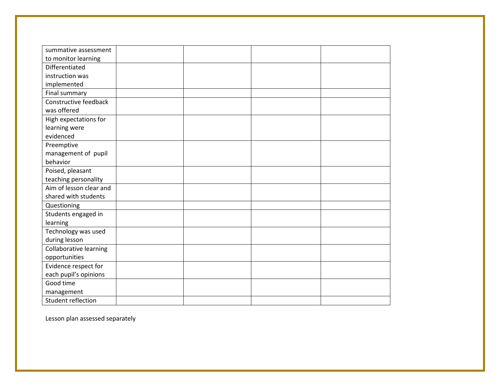| summative assessment    |  |  |
|-------------------------|--|--|
| to monitor learning     |  |  |
| Differentiated          |  |  |
| instruction was         |  |  |
| implemented             |  |  |
| Final summary           |  |  |
| Constructive feedback   |  |  |
| was offered             |  |  |
| High expectations for   |  |  |
| learning were           |  |  |
| evidenced               |  |  |
| Preemptive              |  |  |
| management of pupil     |  |  |
| behavior                |  |  |
| Poised, pleasant        |  |  |
| teaching personality    |  |  |
| Aim of lesson clear and |  |  |
| shared with students    |  |  |
| Questioning             |  |  |
| Students engaged in     |  |  |
| learning                |  |  |
| Technology was used     |  |  |
| during lesson           |  |  |
| Collaborative learning  |  |  |
| opportunities           |  |  |
| Evidence respect for    |  |  |
| each pupil's opinions   |  |  |
| Good time               |  |  |
| management              |  |  |
| Student reflection      |  |  |

Lesson plan assessed separately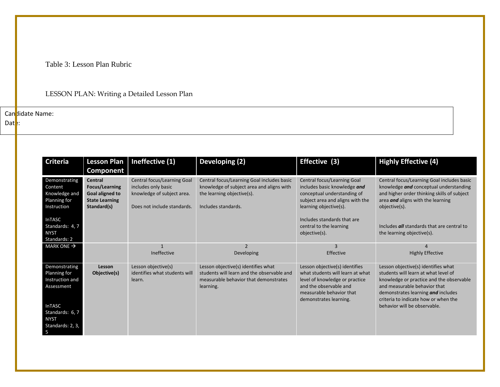Table 3: Lesson Plan Rubric

## LESSON PLAN: Writing a Detailed Lesson Plan

Can didate Name:

 $\mathsf{Dat}$ :

| <b>Criteria</b>                                                           | <b>Lesson Plan</b><br>Component                                                                           | Ineffective (1)                                                                                                 | Developing (2)                                                                                                                               | Effective (3)                                                                                                                                                                        | <b>Highly Effective (4)</b>                                                                                                                                                                                                           |
|---------------------------------------------------------------------------|-----------------------------------------------------------------------------------------------------------|-----------------------------------------------------------------------------------------------------------------|----------------------------------------------------------------------------------------------------------------------------------------------|--------------------------------------------------------------------------------------------------------------------------------------------------------------------------------------|---------------------------------------------------------------------------------------------------------------------------------------------------------------------------------------------------------------------------------------|
| Demonstrating<br>Content<br>Knowledge and<br>Planning for<br>Instruction  | <b>Central</b><br><b>Focus/Learning</b><br><b>Goal aligned to</b><br><b>State Learning</b><br>Standard(s) | Central focus/Learning Goal<br>includes only basic<br>knowledge of subject area.<br>Does not include standards. | Central focus/Learning Goal includes basic<br>knowledge of subject area and aligns with<br>the learning objective(s).<br>Includes standards. | Central focus/Learning Goal<br>includes basic knowledge and<br>conceptual understanding of<br>subject area and aligns with the<br>learning objective(s).                             | Central focus/Learning Goal includes basic<br>knowledge and conceptual understanding<br>and higher order thinking skills of subject<br>area and aligns with the learning<br>objective(s).                                             |
| <b>InTASC</b><br>Standards: 4, 7<br><b>NYST</b><br>Standards: 2           |                                                                                                           |                                                                                                                 |                                                                                                                                              | Includes standards that are<br>central to the learning<br>objective(s).                                                                                                              | Includes all standards that are central to<br>the learning objective(s).                                                                                                                                                              |
| MARK ONE $\rightarrow$                                                    |                                                                                                           | $\mathbf{1}$<br>Ineffective                                                                                     | $\overline{2}$<br>Developing                                                                                                                 | $\mathbf{3}$<br>Effective                                                                                                                                                            | <b>Highly Effective</b>                                                                                                                                                                                                               |
| Demonstrating<br>Planning for<br>Instruction and<br>Assessment            | Lesson<br>Objective(s)                                                                                    | Lesson objective(s)<br>identifies what students will<br>learn.                                                  | Lesson objective(s) identifies what<br>students will learn and the observable and<br>measurable behavior that demonstrates<br>learning.      | Lesson objective(s) identifies<br>what students will learn at what<br>level of knowledge or practice<br>and the observable and<br>measurable behavior that<br>demonstrates learning. | Lesson objective(s) identifies what<br>students will learn at what level of<br>knowledge or practice and the observable<br>and measurable behavior that<br>demonstrates learning and includes<br>criteria to indicate how or when the |
| <b>InTASC</b><br>Standards: 6, 7<br><b>NYST</b><br>Standards: 2, 3,<br>-5 |                                                                                                           |                                                                                                                 |                                                                                                                                              |                                                                                                                                                                                      | behavior will be observable.                                                                                                                                                                                                          |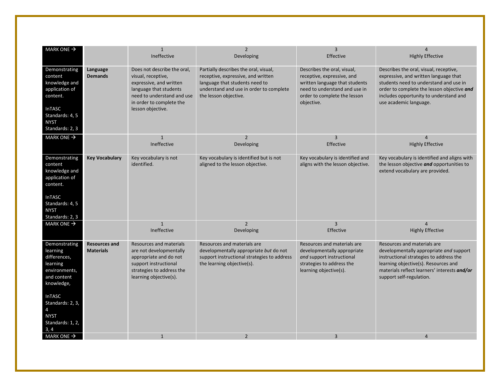| MARK ONE $\rightarrow$                                                                                                                                                                   |                                          | $\mathbf{1}$                                                                                                                                                                          | $\overline{2}$                                                                                                                                                                    | 3                                                                                                                                                                          |                                                                                                                                                                                                                                             |
|------------------------------------------------------------------------------------------------------------------------------------------------------------------------------------------|------------------------------------------|---------------------------------------------------------------------------------------------------------------------------------------------------------------------------------------|-----------------------------------------------------------------------------------------------------------------------------------------------------------------------------------|----------------------------------------------------------------------------------------------------------------------------------------------------------------------------|---------------------------------------------------------------------------------------------------------------------------------------------------------------------------------------------------------------------------------------------|
|                                                                                                                                                                                          |                                          | Ineffective                                                                                                                                                                           | Developing                                                                                                                                                                        | Effective                                                                                                                                                                  | <b>Highly Effective</b>                                                                                                                                                                                                                     |
| Demonstrating<br>content<br>knowledge and<br>application of<br>content.<br><b>InTASC</b><br>Standards: 4, 5<br><b>NYST</b><br>Standards: 2, 3                                            | Language<br><b>Demands</b>               | Does not describe the oral.<br>visual, receptive,<br>expressive, and written<br>language that students<br>need to understand and use<br>in order to complete the<br>lesson objective. | Partially describes the oral, visual,<br>receptive, expressive, and written<br>language that students need to<br>understand and use in order to complete<br>the lesson objective. | Describes the oral, visual,<br>receptive, expressive, and<br>written language that students<br>need to understand and use in<br>order to complete the lesson<br>objective. | Describes the oral, visual, receptive,<br>expressive, and written language that<br>students need to understand and use in<br>order to complete the lesson objective and<br>includes opportunity to understand and<br>use academic language. |
| MARK ONE $\rightarrow$                                                                                                                                                                   |                                          | $\mathbf{1}$<br>Ineffective                                                                                                                                                           | $\overline{2}$<br>Developing                                                                                                                                                      | $\overline{3}$<br>Effective                                                                                                                                                | $\overline{4}$<br><b>Highly Effective</b>                                                                                                                                                                                                   |
| Demonstrating<br>content<br>knowledge and<br>application of<br>content.<br><b>InTASC</b><br>Standards: 4, 5<br><b>NYST</b><br>Standards: 2, 3                                            | <b>Key Vocabulary</b>                    | Key vocabulary is not<br>identified.                                                                                                                                                  | Key vocabulary is identified but is not<br>aligned to the lesson objective.                                                                                                       | Key vocabulary is identified and<br>aligns with the lesson objective.                                                                                                      | Key vocabulary is identified and aligns with<br>the lesson objective and opportunities to<br>extend vocabulary are provided.                                                                                                                |
| MARK ONE $\rightarrow$                                                                                                                                                                   |                                          | $\mathbf{1}$<br>Ineffective                                                                                                                                                           | $\overline{2}$<br>Developing                                                                                                                                                      | 3<br>Effective                                                                                                                                                             | 4<br><b>Highly Effective</b>                                                                                                                                                                                                                |
| Demonstrating<br>learning<br>differences,<br>learning<br>environments,<br>and content<br>knowledge,<br><b>InTASC</b><br>Standards: 2, 3,<br>4<br><b>NYST</b><br>Standards: 1, 2,<br>3, 4 | <b>Resources and</b><br><b>Materials</b> | <b>Resources and materials</b><br>are not developmentally<br>appropriate and do not<br>support instructional<br>strategies to address the<br>learning objective(s).                   | Resources and materials are<br>developmentally appropriate but do not<br>support instructional strategies to address<br>the learning objective(s).                                | Resources and materials are<br>developmentally appropriate<br>and support instructional<br>strategies to address the<br>learning objective(s).                             | Resources and materials are<br>developmentally appropriate and support<br>instructional strategies to address the<br>learning objective(s). Resources and<br>materials reflect learners' interests and/or<br>support self-regulation.       |
| MARK ONE $\rightarrow$                                                                                                                                                                   |                                          | $\mathbf{1}$                                                                                                                                                                          | $\overline{2}$                                                                                                                                                                    | $\overline{3}$                                                                                                                                                             | $\overline{4}$                                                                                                                                                                                                                              |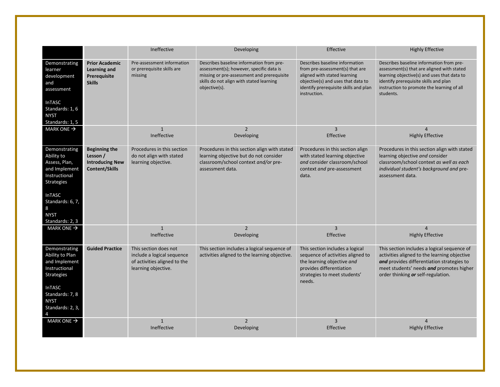|                                                                                                                                                                           |                                                                                     | Ineffective                                                                                                | Developing                                                                                                                                                                                      | Effective                                                                                                                                                                                        | <b>Highly Effective</b>                                                                                                                                                                                                                   |
|---------------------------------------------------------------------------------------------------------------------------------------------------------------------------|-------------------------------------------------------------------------------------|------------------------------------------------------------------------------------------------------------|-------------------------------------------------------------------------------------------------------------------------------------------------------------------------------------------------|--------------------------------------------------------------------------------------------------------------------------------------------------------------------------------------------------|-------------------------------------------------------------------------------------------------------------------------------------------------------------------------------------------------------------------------------------------|
| Demonstrating<br>learner<br>development<br>and<br>assessment<br><b>InTASC</b><br>Standards: 1, 6<br><b>NYST</b><br>Standards: 1, 5                                        | <b>Prior Academic</b><br>Learning and<br>Prerequisite<br><b>Skills</b>              | Pre-assessment information<br>or prerequisite skills are<br>missing                                        | Describes baseline information from pre-<br>assessment(s); however, specific data is<br>missing or pre-assessment and prerequisite<br>skills do not align with stated learning<br>objective(s). | Describes baseline information<br>from pre-assessment(s) that are<br>aligned with stated learning<br>objective(s) and uses that data to<br>identify prerequisite skills and plan<br>instruction. | Describes baseline information from pre-<br>assessment(s) that are aligned with stated<br>learning objective(s) and uses that data to<br>identify prerequisite skills and plan<br>instruction to promote the learning of all<br>students. |
| MARK ONE $\rightarrow$                                                                                                                                                    |                                                                                     | $\mathbf{1}$<br>Ineffective                                                                                | $\overline{2}$<br>Developing                                                                                                                                                                    | $\overline{3}$<br>Effective                                                                                                                                                                      | 4<br><b>Highly Effective</b>                                                                                                                                                                                                              |
| Demonstrating<br>Ability to<br>Assess, Plan,<br>and Implement<br>Instructional<br>Strategies<br><b>InTASC</b><br>Standards: 6, 7,<br>8<br><b>NYST</b><br>Standards: 2, 3  | <b>Beginning the</b><br>Lesson /<br><b>Introducing New</b><br><b>Content/Skills</b> | Procedures in this section<br>do not align with stated<br>learning objective.                              | Procedures in this section align with stated<br>learning objective but do not consider<br>classroom/school context and/or pre-<br>assessment data.                                              | Procedures in this section align<br>with stated learning objective<br>and consider classroom/school<br>context and pre-assessment<br>data.                                                       | Procedures in this section align with stated<br>learning objective and consider<br>classroom/school context as well as each<br>individual student's background and pre-<br>assessment data.                                               |
| MARK ONE $\rightarrow$                                                                                                                                                    |                                                                                     | $\mathbf{1}$<br>Ineffective                                                                                | $\overline{2}$<br>Developing                                                                                                                                                                    | 3<br>Effective                                                                                                                                                                                   | <b>Highly Effective</b>                                                                                                                                                                                                                   |
| Demonstrating<br>Ability to Plan<br>and Implement<br>Instructional<br>Strategies<br><b>InTASC</b><br>Standards: 7, 8<br><b>NYST</b><br>Standards: 2, 3,<br>$\overline{4}$ | <b>Guided Practice</b>                                                              | This section does not<br>include a logical sequence<br>of activities aligned to the<br>learning objective. | This section includes a logical sequence of<br>activities aligned to the learning objective.                                                                                                    | This section includes a logical<br>sequence of activities aligned to<br>the learning objective and<br>provides differentiation<br>strategies to meet students'<br>needs.                         | This section includes a logical sequence of<br>activities aligned to the learning objective<br>and provides differentiation strategies to<br>meet students' needs and promotes higher<br>order thinking or self-regulation.               |
| MARK ONE $\rightarrow$                                                                                                                                                    |                                                                                     | $\mathbf{1}$<br>Ineffective                                                                                | $\overline{2}$<br>Developing                                                                                                                                                                    | $\overline{3}$<br>Effective                                                                                                                                                                      | $\overline{4}$<br><b>Highly Effective</b>                                                                                                                                                                                                 |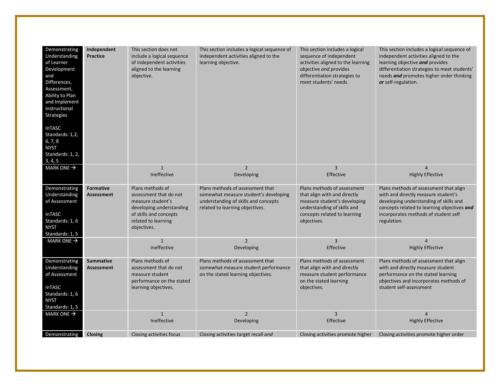| Demonstrating<br>Understanding<br>of Learner<br>Development<br>and<br>Differences,<br>Assessment,<br>Ability to Plan<br>and Implement<br>Instructional<br><b>Strategies</b><br><b>InTASC</b><br>Standards: 1,2,<br>6, 7, 8<br><b>NYST</b><br>Standards: 1, 2, | Independent<br><b>Practice</b>        | This section does not<br>include a logical sequence<br>of independent activities<br>aligned to the learning<br>objective.                                   | This section includes a logical sequence of<br>independent activities aligned to the<br>learning objective.                                          | This section includes a logical<br>sequence of independent<br>activities aligned to the learning<br>objective and provides<br>differentiation strategies to<br>meet students' needs. | This section includes a logical sequence of<br>independent activities aligned to the<br>learning objective and provides<br>differentiation strategies to meet students'<br>needs and promotes higher order thinking<br>or self-regulation. |
|---------------------------------------------------------------------------------------------------------------------------------------------------------------------------------------------------------------------------------------------------------------|---------------------------------------|-------------------------------------------------------------------------------------------------------------------------------------------------------------|------------------------------------------------------------------------------------------------------------------------------------------------------|--------------------------------------------------------------------------------------------------------------------------------------------------------------------------------------|--------------------------------------------------------------------------------------------------------------------------------------------------------------------------------------------------------------------------------------------|
| 3, 4, 5                                                                                                                                                                                                                                                       |                                       |                                                                                                                                                             |                                                                                                                                                      |                                                                                                                                                                                      |                                                                                                                                                                                                                                            |
| MARK ONE $\rightarrow$                                                                                                                                                                                                                                        |                                       | $\mathbf{1}$<br>Ineffective                                                                                                                                 | $\overline{2}$<br>Developing                                                                                                                         | $\overline{3}$<br>Effective                                                                                                                                                          | $\overline{4}$<br><b>Highly Effective</b>                                                                                                                                                                                                  |
| Demonstrating<br>Understanding<br>of Assessment<br><b>InTASC</b><br>Standards: 1, 6<br><b>NYST</b><br>Standards: 1, 5                                                                                                                                         | <b>Formative</b><br><b>Assessment</b> | Plans methods of<br>assessment that do not<br>measure student's<br>developing understanding<br>of skills and concepts<br>related to learning<br>objectives. | Plans methods of assessment that<br>somewhat measure student's developing<br>understanding of skills and concepts<br>related to learning objectives. | Plans methods of assessment<br>that align with and directly<br>measure student's developing<br>understanding of skills and<br>concepts related to learning<br>objectives.            | Plans methods of assessment that align<br>with and directly measure student's<br>developing understanding of skills and<br>concepts related to learning objectives and<br>incorporates methods of student self<br>regulation.              |
| MARK ONE $\rightarrow$                                                                                                                                                                                                                                        |                                       | $\mathbf{1}$<br>Ineffective                                                                                                                                 | $\overline{2}$<br>Developing                                                                                                                         | 3<br>Effective                                                                                                                                                                       | $\Delta$<br><b>Highly Effective</b>                                                                                                                                                                                                        |
| Demonstrating<br>Understanding<br>of Assessment<br>InTASC<br>Standards: 1, 6<br><b>NYST</b><br>Standards: 1, 5                                                                                                                                                | <b>Summative</b><br><b>Assessment</b> | Plans methods of<br>assessment that do not<br>measure student<br>performance on the stated<br>learning objectives.                                          | Plans methods of assessment that<br>somewhat measure student performance<br>on the stated learning objectives.                                       | Plans methods of assessment<br>that align with and directly<br>measure student performance<br>on the stated learning<br>objectives.                                                  | Plans methods of assessment that align<br>with and directly measure student<br>performance on the stated learning<br>objectives and incorporates methods of<br>student self-assessment                                                     |
| MARK ONE $\rightarrow$                                                                                                                                                                                                                                        |                                       | $\mathbf{1}$                                                                                                                                                | $\overline{2}$                                                                                                                                       | $\overline{3}$                                                                                                                                                                       | $\Delta$                                                                                                                                                                                                                                   |
|                                                                                                                                                                                                                                                               |                                       | Ineffective                                                                                                                                                 | Developing                                                                                                                                           | Effective                                                                                                                                                                            | <b>Highly Effective</b>                                                                                                                                                                                                                    |
| Demonstrating                                                                                                                                                                                                                                                 | <b>Closing</b>                        | Closing activities focus                                                                                                                                    | Closing activities target recall and                                                                                                                 | Closing activities promote higher                                                                                                                                                    | Closing activities promote higher order                                                                                                                                                                                                    |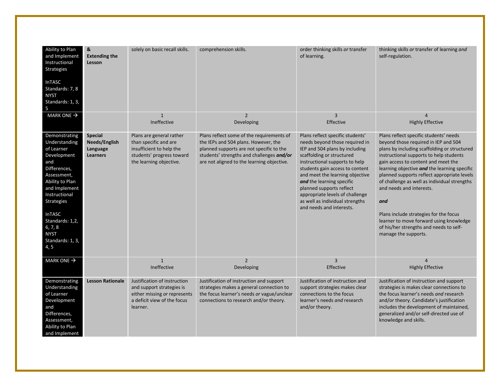| Ability to Plan<br>and Implement<br>Instructional<br>Strategies<br><b>InTASC</b><br>Standards: 7, 8<br><b>NYST</b><br>Standards: 1, 3,<br>5                                                                                                                           | &<br><b>Extending the</b><br>Lesson                     | solely on basic recall skills.                                                                                                        | comprehension skills.                                                                                                                                                                                                    | order thinking skills or transfer<br>of learning.                                                                                                                                                                                                                                                                                                                                                    | thinking skills or transfer of learning and<br>self-regulation.                                                                                                                                                                                                                                                                                                                                                                                                                                                                                            |
|-----------------------------------------------------------------------------------------------------------------------------------------------------------------------------------------------------------------------------------------------------------------------|---------------------------------------------------------|---------------------------------------------------------------------------------------------------------------------------------------|--------------------------------------------------------------------------------------------------------------------------------------------------------------------------------------------------------------------------|------------------------------------------------------------------------------------------------------------------------------------------------------------------------------------------------------------------------------------------------------------------------------------------------------------------------------------------------------------------------------------------------------|------------------------------------------------------------------------------------------------------------------------------------------------------------------------------------------------------------------------------------------------------------------------------------------------------------------------------------------------------------------------------------------------------------------------------------------------------------------------------------------------------------------------------------------------------------|
| MARK ONE $\rightarrow$                                                                                                                                                                                                                                                |                                                         | $\mathbf{1}$<br>Ineffective                                                                                                           | $\overline{2}$<br>Developing                                                                                                                                                                                             | $\overline{3}$<br>Effective                                                                                                                                                                                                                                                                                                                                                                          | $\overline{4}$<br><b>Highly Effective</b>                                                                                                                                                                                                                                                                                                                                                                                                                                                                                                                  |
| Demonstrating<br>Understanding<br>of Learner<br>Development<br>and<br>Differences,<br>Assessment,<br>Ability to Plan<br>and Implement<br>Instructional<br><b>Strategies</b><br><b>InTASC</b><br>Standards: 1,2,<br>6, 7, 8<br><b>NYST</b><br>Standards: 1, 3,<br>4, 5 | <b>Special</b><br>Needs/English<br>Language<br>Learners | Plans are general rather<br>than specific and are<br>insufficient to help the<br>students' progress toward<br>the learning objective. | Plans reflect some of the requirements of<br>the IEPs and 504 plans. However, the<br>planned supports are not specific to the<br>students' strengths and challenges and/or<br>are not aligned to the learning objective. | Plans reflect specific students'<br>needs beyond those required in<br>IEP and 504 plans by including<br>scaffolding or structured<br>instructional supports to help<br>students gain access to content<br>and meet the learning objective<br>and the learning specific<br>planned supports reflect<br>appropriate levels of challenge<br>as well as individual strengths<br>and needs and interests. | Plans reflect specific students' needs<br>beyond those required in IEP and 504<br>plans by including scaffolding or structured<br>instructional supports to help students<br>gain access to content and meet the<br>learning objective and the learning specific<br>planned supports reflect appropriate levels<br>of challenge as well as individual strengths<br>and needs and interests.<br>and<br>Plans include strategies for the focus<br>learner to move forward using knowledge<br>of his/her strengths and needs to self-<br>manage the supports. |
| MARK ONE $\rightarrow$                                                                                                                                                                                                                                                |                                                         | $\mathbf{1}$<br>Ineffective                                                                                                           | $\overline{2}$<br>Developing                                                                                                                                                                                             | $\overline{3}$<br>Effective                                                                                                                                                                                                                                                                                                                                                                          | <b>Highly Effective</b>                                                                                                                                                                                                                                                                                                                                                                                                                                                                                                                                    |
| Demonstrating<br>Understanding<br>of Learner<br>Development<br>and<br>Differences,<br>Assessment,<br>Ability to Plan<br>and Implement                                                                                                                                 | <b>Lesson Rationale</b>                                 | Justification of instruction<br>and support strategies is<br>either missing or represents<br>a deficit view of the focus<br>learner.  | Justification of instruction and support<br>strategies makes a general connection to<br>the focus learner's needs or vague/unclear<br>connections to research and/or theory.                                             | Justification of instruction and<br>support strategies makes clear<br>connections to the focus<br>learner's needs and research<br>and/or theory.                                                                                                                                                                                                                                                     | Justification of instruction and support<br>strategies is makes clear connections to<br>the focus learner's needs and research<br>and/or theory. Candidate's justification<br>includes the development of maintained,<br>generalized and/or self-directed use of<br>knowledge and skills.                                                                                                                                                                                                                                                                  |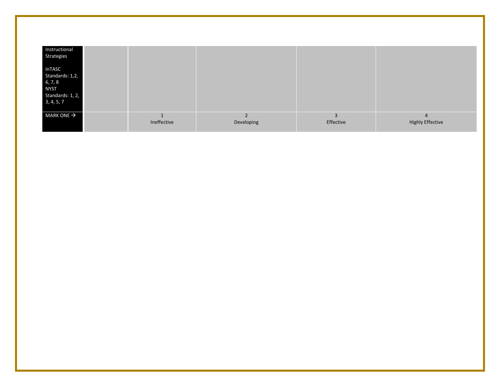| Instructional<br>Strategies                                                                  |             |            |           |                         |
|----------------------------------------------------------------------------------------------|-------------|------------|-----------|-------------------------|
| <b>InTASC</b><br>Standards: 1,2,<br>6, 7, 8<br><b>NYST</b><br>Standards: 1, 2,<br>3, 4, 5, 7 |             |            |           |                         |
| MARK ONE $\rightarrow$                                                                       | Ineffective | Developing | Effective | <b>Highly Effective</b> |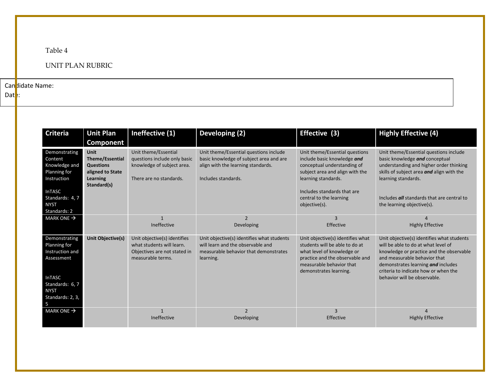## Table 4

## UNIT PLAN RUBRIC

Can didate Name:

 $Data$ :

| <b>Criteria</b>                                                                                                                                   | <b>Unit Plan</b>                                                                                         | Ineffective (1)                                                                                                | Developing (2)                                                                                                                                 | Effective (3)                                                                                                                                                                                                                     | <b>Highly Effective (4)</b>                                                                                                                                                                                                                                                 |
|---------------------------------------------------------------------------------------------------------------------------------------------------|----------------------------------------------------------------------------------------------------------|----------------------------------------------------------------------------------------------------------------|------------------------------------------------------------------------------------------------------------------------------------------------|-----------------------------------------------------------------------------------------------------------------------------------------------------------------------------------------------------------------------------------|-----------------------------------------------------------------------------------------------------------------------------------------------------------------------------------------------------------------------------------------------------------------------------|
|                                                                                                                                                   | Component                                                                                                |                                                                                                                |                                                                                                                                                |                                                                                                                                                                                                                                   |                                                                                                                                                                                                                                                                             |
| Demonstrating<br>Content<br>Knowledge and<br>Planning for<br>Instruction<br><b>InTASC</b><br>Standards: 4, 7<br><b>NYST</b><br>Standards: 2       | <b>Unit</b><br><b>Theme/Essential</b><br><b>Questions</b><br>aligned to State<br>Learning<br>Standard(s) | Unit theme/Essential<br>questions include only basic<br>knowledge of subject area.<br>There are no standards.  | Unit theme/Essential questions include<br>basic knowledge of subject area and are<br>align with the learning standards.<br>Includes standards. | Unit theme/Essential questions<br>include basic knowledge and<br>conceptual understanding of<br>subject area and align with the<br>learning standards.<br>Includes standards that are<br>central to the learning<br>objective(s). | Unit theme/Essential questions include<br>basic knowledge and conceptual<br>understanding and higher order thinking<br>skills of subject area and align with the<br>learning standards.<br>Includes <i>all</i> standards that are central to<br>the learning objective(s).  |
| MARK ONE $\rightarrow$                                                                                                                            |                                                                                                          | $\mathbf{1}$<br>Ineffective                                                                                    | $\overline{\phantom{0}}$<br>Developing                                                                                                         | 3<br>Effective                                                                                                                                                                                                                    | <b>Highly Effective</b>                                                                                                                                                                                                                                                     |
| Demonstrating<br><b>Planning for</b><br>Instruction and<br>Assessment<br><b>InTASC</b><br>Standards: 6, 7<br><b>NYST</b><br>Standards: 2, 3,<br>5 | Unit Objective(s)                                                                                        | Unit objective(s) identifies<br>what students will learn.<br>Objectives are not stated in<br>measurable terms. | Unit objective(s) identifies what students<br>will learn and the observable and<br>measurable behavior that demonstrates<br>learning.          | Unit objective(s) identifies what<br>students will be able to do at<br>what level of knowledge or<br>practice and the observable and<br>measurable behavior that<br>demonstrates learning.                                        | Unit objective(s) identifies what students<br>will be able to do at what level of<br>knowledge or practice and the observable<br>and measurable behavior that<br>demonstrates learning and includes<br>criteria to indicate how or when the<br>behavior will be observable. |
| MARK ONE $\rightarrow$                                                                                                                            |                                                                                                          | Ineffective                                                                                                    | $\overline{\phantom{0}}$<br>Developing                                                                                                         | $\overline{3}$<br>Effective                                                                                                                                                                                                       | <b>Highly Effective</b>                                                                                                                                                                                                                                                     |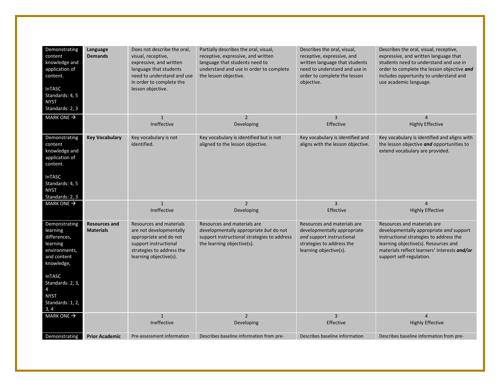| Demonstrating<br>content<br>knowledge and<br>application of<br>content.<br><b>InTASC</b><br>Standards: 4, 5<br><b>NYST</b><br>Standards: 2, 3                                                         | Language<br><b>Demands</b>               | Does not describe the oral,<br>visual, receptive,<br>expressive, and written<br>language that students<br>need to understand and use<br>in order to complete the<br>lesson objective. | Partially describes the oral, visual,<br>receptive, expressive, and written<br>language that students need to<br>understand and use in order to complete<br>the lesson objective. | Describes the oral, visual,<br>receptive, expressive, and<br>written language that students<br>need to understand and use in<br>order to complete the lesson<br>objective. | Describes the oral, visual, receptive,<br>expressive, and written language that<br>students need to understand and use in<br>order to complete the lesson objective and<br>includes opportunity to understand and<br>use academic language. |
|-------------------------------------------------------------------------------------------------------------------------------------------------------------------------------------------------------|------------------------------------------|---------------------------------------------------------------------------------------------------------------------------------------------------------------------------------------|-----------------------------------------------------------------------------------------------------------------------------------------------------------------------------------|----------------------------------------------------------------------------------------------------------------------------------------------------------------------------|---------------------------------------------------------------------------------------------------------------------------------------------------------------------------------------------------------------------------------------------|
| MARK ONE $\rightarrow$                                                                                                                                                                                |                                          | $\mathbf{1}$<br>Ineffective                                                                                                                                                           | $\overline{2}$<br>Developing                                                                                                                                                      | $\overline{3}$<br>Effective                                                                                                                                                | $\Delta$<br><b>Highly Effective</b>                                                                                                                                                                                                         |
| Demonstrating<br>content<br>knowledge and<br>application of<br>content.<br><b>InTASC</b><br>Standards: 4, 5<br><b>NYST</b><br>Standards: 2, 3                                                         | <b>Key Vocabulary</b>                    | Key vocabulary is not<br>identified.                                                                                                                                                  | Key vocabulary is identified but is not<br>aligned to the lesson objective.                                                                                                       | Key vocabulary is identified and<br>aligns with the lesson objective.                                                                                                      | Key vocabulary is identified and aligns with<br>the lesson objective and opportunities to<br>extend vocabulary are provided.                                                                                                                |
| MARK ONE $\rightarrow$                                                                                                                                                                                |                                          | $\mathbf{1}$<br>Ineffective                                                                                                                                                           | $\overline{2}$<br>Developing                                                                                                                                                      | $\overline{3}$<br>Effective                                                                                                                                                | $\Delta$<br><b>Highly Effective</b>                                                                                                                                                                                                         |
| Demonstrating<br>learning<br>differences,<br>learning<br>environments,<br>and content<br>knowledge,<br><b>InTASC</b><br>Standards: 2, 3,<br>$\overline{4}$<br><b>NYST</b><br>Standards: 1, 2,<br>3, 4 | <b>Resources and</b><br><b>Materials</b> | Resources and materials<br>are not developmentally<br>appropriate and do not<br>support instructional<br>strategies to address the<br>learning objective(s).                          | Resources and materials are<br>developmentally appropriate but do not<br>support instructional strategies to address<br>the learning objective(s).                                | Resources and materials are<br>developmentally appropriate<br>and support instructional<br>strategies to address the<br>learning objective(s).                             | Resources and materials are<br>developmentally appropriate and support<br>instructional strategies to address the<br>learning objective(s). Resources and<br>materials reflect learners' interests and/or<br>support self-regulation.       |
| MARK ONE $\rightarrow$                                                                                                                                                                                |                                          | $\mathbf{1}$<br>Ineffective                                                                                                                                                           | $\overline{2}$<br>Developing                                                                                                                                                      | $\overline{3}$<br>Effective                                                                                                                                                | $\overline{4}$<br><b>Highly Effective</b>                                                                                                                                                                                                   |
| Demonstrating                                                                                                                                                                                         | <b>Prior Academic</b>                    | Pre-assessment information                                                                                                                                                            | Describes baseline information from pre-                                                                                                                                          | Describes baseline information                                                                                                                                             | Describes baseline information from pre-                                                                                                                                                                                                    |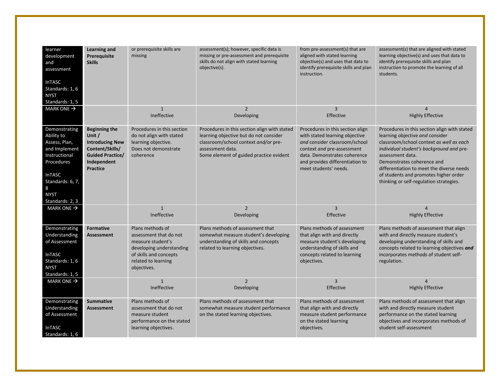| learner<br>development<br>and<br>assessment<br><b>InTASC</b><br>Standards: 1, 6<br><b>NYST</b><br>Standards: 1, 5                                                        | <b>Learning and</b><br>Prerequisite<br><b>Skills</b>                                                                                     | or prerequisite skills are<br>missing                                                                                                                       | assessment(s); however, specific data is<br>missing or pre-assessment and prerequisite<br>skills do not align with stated learning<br>objective(s).                                           | from pre-assessment(s) that are<br>aligned with stated learning<br>objective(s) and uses that data to<br>identify prerequisite skills and plan<br>instruction.                                                                | assessment(s) that are aligned with stated<br>learning objective(s) and uses that data to<br>identify prerequisite skills and plan<br>instruction to promote the learning of all<br>students.                                                                                                                                                              |
|--------------------------------------------------------------------------------------------------------------------------------------------------------------------------|------------------------------------------------------------------------------------------------------------------------------------------|-------------------------------------------------------------------------------------------------------------------------------------------------------------|-----------------------------------------------------------------------------------------------------------------------------------------------------------------------------------------------|-------------------------------------------------------------------------------------------------------------------------------------------------------------------------------------------------------------------------------|------------------------------------------------------------------------------------------------------------------------------------------------------------------------------------------------------------------------------------------------------------------------------------------------------------------------------------------------------------|
| MARK ONE $\rightarrow$                                                                                                                                                   |                                                                                                                                          | $\mathbf{1}$<br>Ineffective                                                                                                                                 | $\overline{2}$<br>Developing                                                                                                                                                                  | $\overline{3}$<br>Effective                                                                                                                                                                                                   | 4<br><b>Highly Effective</b>                                                                                                                                                                                                                                                                                                                               |
| Demonstrating<br>Ability to<br>Assess, Plan,<br>and Implement<br>Instructional<br>Procedures<br><b>InTASC</b><br>Standards: 6, 7,<br>8<br><b>NYST</b><br>Standards: 2, 3 | <b>Beginning the</b><br>Unit /<br><b>Introducing New</b><br>Content/Skills/<br><b>Guided Practice/</b><br>Independent<br><b>Practice</b> | Procedures in this section<br>do not align with stated<br>learning objective.<br>Does not demonstrate<br>coherence                                          | Procedures in this section align with stated<br>learning objective but do not consider<br>classroom/school context and/or pre-<br>assessment data.<br>Some element of guided practice evident | Procedures in this section align<br>with stated learning objective<br>and consider classroom/school<br>context and pre-assessment<br>data. Demonstrates coherence<br>and provides differentiation to<br>meet students' needs. | Procedures in this section align with stated<br>learning objective and consider<br>classroom/school context as well as each<br>individual student's background and pre-<br>assessment data.<br>Demonstrates coherence and<br>differentiation to meet the diverse needs<br>of students and promotes higher order<br>thinking or self-regulation strategies. |
| MARK ONE $\rightarrow$                                                                                                                                                   |                                                                                                                                          | $\mathbf{1}$<br>Ineffective                                                                                                                                 | $\overline{2}$<br>Developing                                                                                                                                                                  | $\overline{3}$<br>Effective                                                                                                                                                                                                   | 4<br><b>Highly Effective</b>                                                                                                                                                                                                                                                                                                                               |
| Demonstrating<br>Understanding<br>of Assessment<br><b>InTASC</b><br>Standards: 1, 6<br><b>NYST</b><br>Standards: 1, 5                                                    | <b>Formative</b><br><b>Assessment</b>                                                                                                    | Plans methods of<br>assessment that do not<br>measure student's<br>developing understanding<br>of skills and concepts<br>related to learning<br>objectives. | Plans methods of assessment that<br>somewhat measure student's developing<br>understanding of skills and concepts<br>related to learning objectives.                                          | Plans methods of assessment<br>that align with and directly<br>measure student's developing<br>understanding of skills and<br>concepts related to learning<br>objectives.                                                     | Plans methods of assessment that align<br>with and directly measure student's<br>developing understanding of skills and<br>concepts related to learning objectives and<br>incorporates methods of student self-<br>regulation.                                                                                                                             |
| MARK ONE $\rightarrow$                                                                                                                                                   |                                                                                                                                          | $\mathbf{1}$<br>Ineffective                                                                                                                                 | $\overline{2}$<br>Developing                                                                                                                                                                  | $\overline{3}$<br>Effective                                                                                                                                                                                                   | $\overline{4}$<br><b>Highly Effective</b>                                                                                                                                                                                                                                                                                                                  |
| Demonstrating<br>Understanding<br>of Assessment<br><b>InTASC</b><br>Standards: 1, 6                                                                                      | <b>Summative</b><br><b>Assessment</b>                                                                                                    | Plans methods of<br>assessment that do not<br>measure student<br>performance on the stated<br>learning objectives.                                          | Plans methods of assessment that<br>somewhat measure student performance<br>on the stated learning objectives.                                                                                | Plans methods of assessment<br>that align with and directly<br>measure student performance<br>on the stated learning<br>objectives.                                                                                           | Plans methods of assessment that align<br>with and directly measure student<br>performance on the stated learning<br>objectives and incorporates methods of<br>student self-assessment                                                                                                                                                                     |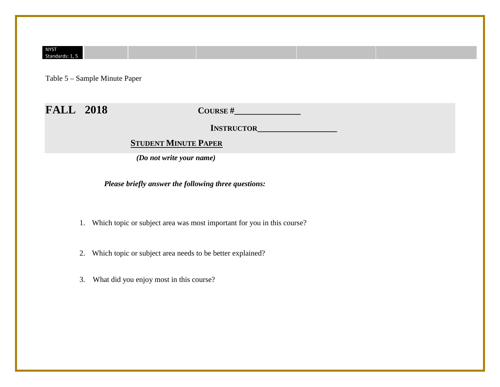#### NYST Standards: 1, 5

Table 5 – Sample Minute Paper

## **FALL 2018 COURSE #\_\_\_\_\_\_\_\_\_\_\_\_\_\_\_**

 **INSTRUCTOR\_\_\_\_\_\_\_\_\_\_\_\_\_\_\_\_\_\_**

## **STUDENT MINUTE PAPER**

 *(Do not write your name)*

 *Please briefly answer the following three questions:*

- 1. Which topic or subject area was most important for you in this course?
- 2. Which topic or subject area needs to be better explained?
- 3. What did you enjoy most in this course?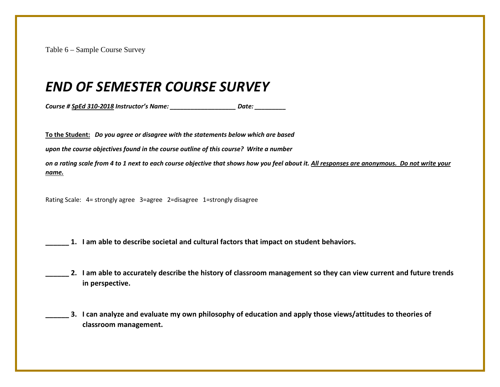Table 6 – Sample Course Survey

# *END OF SEMESTER COURSE SURVEY*

*Course # SpEd 310-2018 Instructor's Name: \_\_\_\_\_\_\_\_\_\_\_\_\_\_\_\_\_\_\_ Date: \_\_\_\_\_\_\_\_\_*

**To the Student:** *Do you agree or disagree with the statements below which are based* 

*upon the course objectives found in the course outline of this course? Write a number* 

*on a rating scale from 4 to 1 next to each course objective that shows how you feel about it. All responses are anonymous. Do not write your name.*

Rating Scale: 4= strongly agree 3=agree 2=disagree 1=strongly disagree

- **\_\_\_\_\_\_ 1. I am able to describe societal and cultural factors that impact on student behaviors.**
- **\_\_\_\_\_\_ 2. I am able to accurately describe the history of classroom management so they can view current and future trends in perspective.**
- **\_\_\_\_\_\_ 3. I can analyze and evaluate my own philosophy of education and apply those views/attitudes to theories of classroom management.**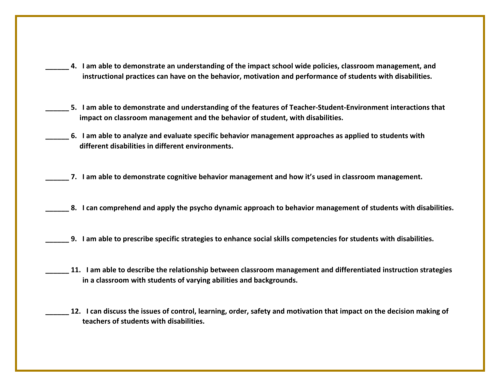- **\_\_\_\_\_\_ 4. I am able to demonstrate an understanding of the impact school wide policies, classroom management, and instructional practices can have on the behavior, motivation and performance of students with disabilities.**
- **\_\_\_\_\_\_ 5. I am able to demonstrate and understanding of the features of Teacher-Student-Environment interactions that impact on classroom management and the behavior of student, with disabilities.**
- **\_\_\_\_\_\_ 6. I am able to analyze and evaluate specific behavior management approaches as applied to students with different disabilities in different environments.**
- **\_\_\_\_\_\_ 7. I am able to demonstrate cognitive behavior management and how it's used in classroom management.**
- 8. I can comprehend and apply the psycho dynamic approach to behavior management of students with disabilities.
- **\_\_\_\_\_\_ 9. I am able to prescribe specific strategies to enhance social skills competencies for students with disabilities.**
- **\_\_\_\_\_\_ 11. I am able to describe the relationship between classroom management and differentiated instruction strategies in a classroom with students of varying abilities and backgrounds.** 
	- **\_\_\_\_\_\_ 12. I can discuss the issues of control, learning, order, safety and motivation that impact on the decision making of teachers of students with disabilities.**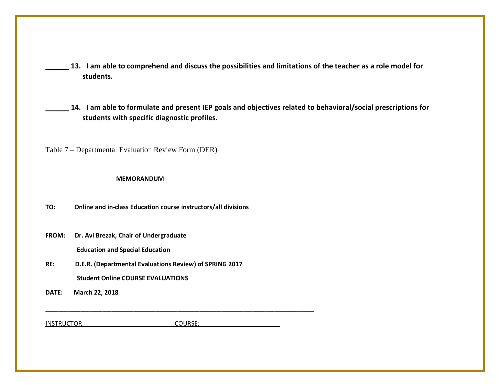- **\_\_\_\_\_\_ 13. I am able to comprehend and discuss the possibilities and limitations of the teacher as a role model for students.**
- **\_\_\_\_\_\_ 14. I am able to formulate and present IEP goals and objectives related to behavioral/social prescriptions for students with specific diagnostic profiles.**

Table 7 – Departmental Evaluation Review Form (DER)

#### **MEMORANDUM**

**TO: Online and in-class Education course instructors/all divisions** 

**FROM: Dr. Avi Brezak, Chair of Undergraduate**

 **Education and Special Education**

- **RE: D.E.R. (Departmental Evaluations Review) of SPRING 2017 Student Online COURSE EVALUATIONS**
- **DATE: March 22, 2018**

INSTRUCTOR: COURSE:

**\_\_\_\_\_\_\_\_\_\_\_\_\_\_\_\_\_\_\_\_\_\_\_\_\_\_\_\_\_\_\_\_\_\_\_\_\_\_\_\_\_\_\_\_\_\_\_\_\_\_\_\_\_\_\_\_\_\_\_\_\_**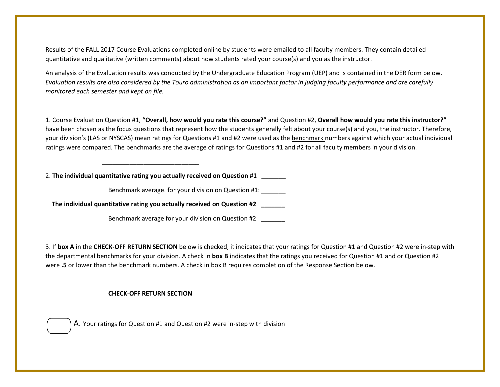Results of the FALL 2017 Course Evaluations completed online by students were emailed to all faculty members. They contain detailed quantitative and qualitative (written comments) about how students rated your course(s) and you as the instructor.

An analysis of the Evaluation results was conducted by the Undergraduate Education Program (UEP) and is contained in the DER form below. *Evaluation results are also considered by the Touro administration as an important factor in judging faculty performance and are carefully monitored each semester and kept on file.*

1. Course Evaluation Question #1, **"Overall, how would you rate this course?"** and Question #2, **Overall how would you rate this instructor?"** have been chosen as the focus questions that represent how the students generally felt about your course(s) and you, the instructor. Therefore, your division's (LAS or NYSCAS) mean ratings for Questions #1 and #2 were used as the benchmark numbers against which your actual individual ratings were compared. The benchmarks are the average of ratings for Questions #1 and #2 for all faculty members in your division.

2. **The individual quantitative rating you actually received on Question #1 \_\_\_\_\_\_\_**

 $\frac{1}{\sqrt{2}}$  ,  $\frac{1}{\sqrt{2}}$  ,  $\frac{1}{\sqrt{2}}$  ,  $\frac{1}{\sqrt{2}}$  ,  $\frac{1}{\sqrt{2}}$  ,  $\frac{1}{\sqrt{2}}$  ,  $\frac{1}{\sqrt{2}}$  ,  $\frac{1}{\sqrt{2}}$  ,  $\frac{1}{\sqrt{2}}$  ,  $\frac{1}{\sqrt{2}}$  ,  $\frac{1}{\sqrt{2}}$  ,  $\frac{1}{\sqrt{2}}$  ,  $\frac{1}{\sqrt{2}}$  ,  $\frac{1}{\sqrt{2}}$  ,  $\frac{1}{\sqrt{2}}$ 

Benchmark average. for your division on Question #1: \_\_\_\_\_\_\_

**The individual quantitative rating you actually received on Question #2 \_\_\_\_\_\_\_**

Benchmark average for your division on Question #2

3. If **box A** in the **CHECK-OFF RETURN SECTION** below is checked, it indicates that your ratings for Question #1 and Question #2 were in-step with the departmental benchmarks for your division. A check in **box B** indicates that the ratings you received for Question #1 and or Question #2 were **.5** or lower than the benchmark numbers. A check in box B requires completion of the Response Section below.

#### **CHECK-OFF RETURN SECTION**



A. Your ratings for Question #1 and Question #2 were in-step with division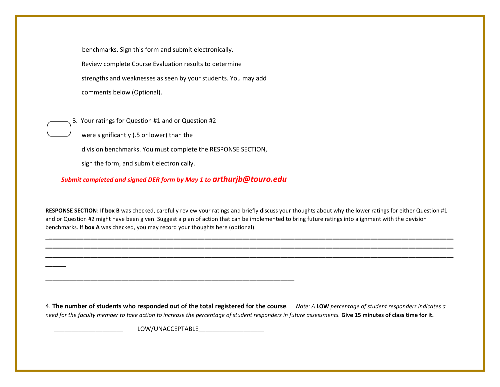benchmarks. Sign this form and submit electronically. Review complete Course Evaluation results to determine strengths and weaknesses as seen by your students. You may add comments below (Optional).

B. Your ratings for Question #1 and or Question #2

were significantly (.5 or lower) than the

division benchmarks. You must complete the RESPONSE SECTION,

sign the form, and submit electronically.

**\_\_\_\_\_\_**

 *Submit completed and signed DER form by May 1 to arthurjb@touro.edu*

**RESPONSE SECTION**: If **box B** was checked, carefully review your ratings and briefly discuss your thoughts about why the lower ratings for either Question #1 and or Question #2 might have been given. Suggest a plan of action that can be implemented to bring future ratings into alignment with the devision benchmarks. If **box A** was checked, you may record your thoughts here (optional).

\_**\_\_\_\_\_\_\_\_\_\_\_\_\_\_\_\_\_\_\_\_\_\_\_\_\_\_\_\_\_\_\_\_\_\_\_\_\_\_\_\_\_\_\_\_\_\_\_\_\_\_\_\_\_\_\_\_\_\_\_\_\_\_\_\_\_\_\_\_\_\_\_\_\_\_\_\_\_\_\_\_\_\_\_\_\_\_\_\_\_\_\_\_\_\_\_\_\_\_\_\_\_\_\_\_\_\_\_\_\_\_\_\_\_\_\_\_\_ \_\_\_\_\_\_\_\_\_\_\_\_\_\_\_\_\_\_\_\_\_\_\_\_\_\_\_\_\_\_\_\_\_\_\_\_\_\_\_\_\_\_\_\_\_\_\_\_\_\_\_\_\_\_\_\_\_\_\_\_\_\_\_\_\_\_\_\_\_\_\_\_\_\_\_\_\_\_\_\_\_\_\_\_\_\_\_\_\_\_\_\_\_\_\_\_\_\_\_\_\_\_\_\_\_\_\_\_\_\_\_\_\_\_\_\_\_\_ \_\_\_\_\_\_\_\_\_\_\_\_\_\_\_\_\_\_\_\_\_\_\_\_\_\_\_\_\_\_\_\_\_\_\_\_\_\_\_\_\_\_\_\_\_\_\_\_\_\_\_\_\_\_\_\_\_\_\_\_\_\_\_\_\_\_\_\_\_\_\_\_\_\_\_\_\_\_\_\_\_\_\_\_\_\_\_\_\_\_\_\_\_\_\_\_\_\_\_\_\_\_\_\_\_\_\_\_\_\_\_\_\_\_\_\_\_\_**

4. **The number of students who responded out of the total registered for the course***. Note: A* **LOW** *percentage of student responders indicates a need for the faculty member to take action to increase the percentage of student responders in future assessments.* **Give 15 minutes of class time for it.**

 $\mathsf{LOW/UNACCEPTABLE}$ 

**\_\_\_\_\_\_\_\_\_\_\_\_\_\_\_\_\_\_\_\_\_\_\_\_\_\_\_\_\_\_\_\_\_\_\_\_\_\_\_\_\_\_\_\_\_\_\_\_\_\_\_\_\_\_\_\_\_\_\_\_\_\_\_\_\_\_\_\_\_\_\_\_**